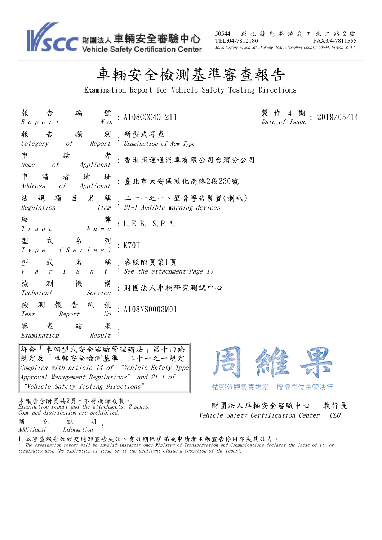

50544 彰 化 縣 鹿 港 鎮 鹿 工 北 二 路 2 號<br>TEL:04-7812180 FAX:04-7811555 FAX:04-7811555 No.2,Lugong N.2nd Rd.,Lukang Town,Changhua County 50544,Taiwan R.O.C.

 $9/05/14$ 

## 車輛安全檢測基準審查報告

Examination Report for Vehicle Safety Testing Directions

| 編<br>號<br>報<br>告<br>$R$ e p o r t<br>$N$ $o$ .                                                          | : A108CCC40-211                                                   | 製 作<br>日期<br>201<br>Date of Issue |
|---------------------------------------------------------------------------------------------------------|-------------------------------------------------------------------|-----------------------------------|
| 類 別<br>報<br>告<br>Category of Report Examination of New Type                                             | 新型式審查                                                             |                                   |
| 申<br>請<br>者<br>Name of Applicant                                                                        | : 香港商運通汽車有限公司台灣分公司                                                |                                   |
| 者<br>申 請<br>地<br>址<br>Address of Applicant                                                              | :臺北市大安區敦化南路2段230號                                                 |                                   |
| Regulation                                                                                              | 法 規 項 目 名 稱 二十一之一、聲音警告裝置(喇叭)<br>Item 21-1 Audible warning devices |                                   |
| 廠<br>牌<br>$N$ a m $e$<br>T r a d e                                                                      | : L. E. B. S. P. A.                                               |                                   |
| 型<br>式<br>列<br>$\begin{array}{ccccccccc}\nT & y & p & e & & ( & S & e & r & i & e & s & )\n\end{array}$ | : K70H                                                            |                                   |
| 式 名 稱 參照附頁第1頁<br>型<br>$V$ arian                                                                         | $t$ $\dot{\phantom{t}}$ See the attachment (Page 1)               |                                   |
| 檢<br>機<br>測<br>構<br>Technical<br>Service                                                                | : 財團法人車輛研究測試中心                                                    |                                   |
| 報告編<br>號<br>檢測<br>Test Report<br>No.                                                                    | : A108NS0003M01                                                   |                                   |
| 審<br>果<br>查<br>結<br>Examination<br>Result                                                               |                                                                   |                                   |

符合「車輛型式安全審驗管理辦法」第十四條 規定及「車輛安全檢測基準」二十一之一規定 Complies with article 14 of "Vehicle Safety Type Approval Management Regulations" and 21-1 of "Vehicle Safety Testing Directions"

依照分層負責規定 授權單位主管決行

本報告含附頁共2頁。不得摘錄複製。 <del>The Bundes of Antipulation</del><br>Examination report and the attachments: 2 pages.<br>Copy and distribution are prohibited.

Vehicle Safety Certification Center CEO

補 充 說 明 補 充 說 明<br>Additional Information

1.本審查報告如經交通部宣告失效、有效期限屆滿或申請者主動宣告停用即失其效力。 The examination report will be invalid instantly once Ministry of Transportation and Communications declares the lapse of it, or terminates upon the expiration of term, or if the applicant claims <sup>a</sup> cessation of the report.